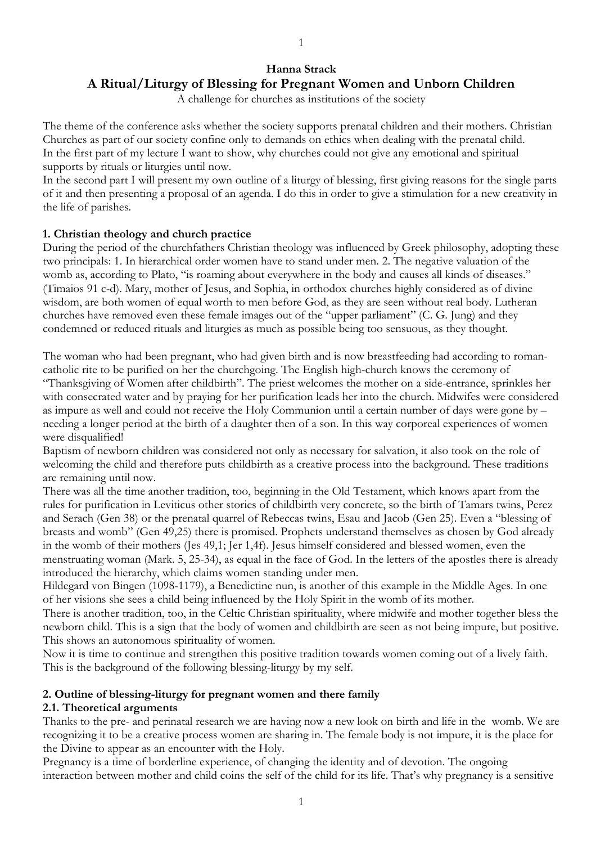# **Hanna Strack A Ritual/Liturgy of Blessing for Pregnant Women and Unborn Children**

A challenge for churches as institutions of the society

The theme of the conference asks whether the society supports prenatal children and their mothers. Christian Churches as part of our society confine only to demands on ethics when dealing with the prenatal child. In the first part of my lecture I want to show, why churches could not give any emotional and spiritual supports by rituals or liturgies until now.

In the second part I will present my own outline of a liturgy of blessing, first giving reasons for the single parts of it and then presenting a proposal of an agenda. I do this in order to give a stimulation for a new creativity in the life of parishes.

### **1. Christian theology and church practice**

During the period of the churchfathers Christian theology was influenced by Greek philosophy, adopting these two principals: 1. In hierarchical order women have to stand under men. 2. The negative valuation of the womb as, according to Plato, "is roaming about everywhere in the body and causes all kinds of diseases." (Timaios 91 c-d). Mary, mother of Jesus, and Sophia, in orthodox churches highly considered as of divine wisdom, are both women of equal worth to men before God, as they are seen without real body. Lutheran churches have removed even these female images out of the "upper parliament" (C. G. Jung) and they condemned or reduced rituals and liturgies as much as possible being too sensuous, as they thought.

The woman who had been pregnant, who had given birth and is now breastfeeding had according to romancatholic rite to be purified on her the churchgoing. The English high-church knows the ceremony of "Thanksgiving of Women after childbirth". The priest welcomes the mother on a side-entrance, sprinkles her with consecrated water and by praying for her purification leads her into the church. Midwifes were considered as impure as well and could not receive the Holy Communion until a certain number of days were gone by – needing a longer period at the birth of a daughter then of a son. In this way corporeal experiences of women were disqualified!

Baptism of newborn children was considered not only as necessary for salvation, it also took on the role of welcoming the child and therefore puts childbirth as a creative process into the background. These traditions are remaining until now.

There was all the time another tradition, too, beginning in the Old Testament, which knows apart from the rules for purification in Leviticus other stories of childbirth very concrete, so the birth of Tamars twins, Perez and Serach (Gen 38) or the prenatal quarrel of Rebeccas twins, Esau and Jacob (Gen 25). Even a "blessing of breasts and womb" (Gen 49,25) there is promised. Prophets understand themselves as chosen by God already in the womb of their mothers (Jes 49,1; Jer 1,4f). Jesus himself considered and blessed women, even the menstruating woman (Mark. 5, 25-34), as equal in the face of God. In the letters of the apostles there is already introduced the hierarchy, which claims women standing under men.

Hildegard von Bingen (1098-1179), a Benedictine nun, is another of this example in the Middle Ages. In one of her visions she sees a child being influenced by the Holy Spirit in the womb of its mother.

There is another tradition, too, in the Celtic Christian spirituality, where midwife and mother together bless the newborn child. This is a sign that the body of women and childbirth are seen as not being impure, but positive. This shows an autonomous spirituality of women.

Now it is time to continue and strengthen this positive tradition towards women coming out of a lively faith. This is the background of the following blessing-liturgy by my self.

### **2. Outline of blessing-liturgy for pregnant women and there family**

### **2.1. Theoretical arguments**

Thanks to the pre- and perinatal research we are having now a new look on birth and life in the womb. We are recognizing it to be a creative process women are sharing in. The female body is not impure, it is the place for the Divine to appear as an encounter with the Holy.

Pregnancy is a time of borderline experience, of changing the identity and of devotion. The ongoing interaction between mother and child coins the self of the child for its life. That's why pregnancy is a sensitive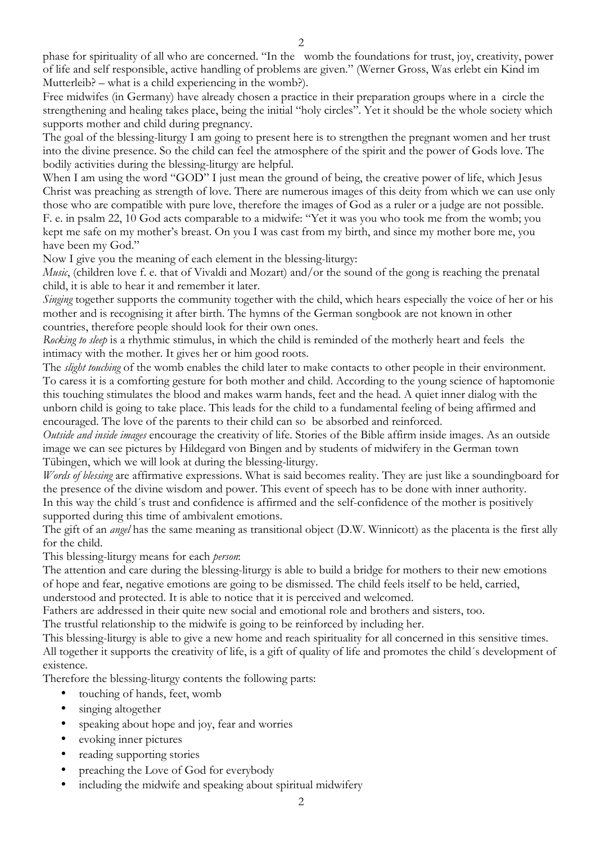phase for spirituality of all who are concerned. "In the womb the foundations for trust, joy, creativity, power of life and self responsible, active handling of problems are given." (Werner Gross, Was erlebt ein Kind im Mutterleib? – what is a child experiencing in the womb?).

Free midwifes (in Germany) have already chosen a practice in their preparation groups where in a circle the strengthening and healing takes place, being the initial "holy circles". Yet it should be the whole society which supports mother and child during pregnancy.

The goal of the blessing-liturgy I am going to present here is to strengthen the pregnant women and her trust into the divine presence. So the child can feel the atmosphere of the spirit and the power of Gods love. The bodily activities during the blessing-liturgy are helpful.

When I am using the word "GOD" I just mean the ground of being, the creative power of life, which Jesus Christ was preaching as strength of love. There are numerous images of this deity from which we can use only those who are compatible with pure love, therefore the images of God as a ruler or a judge are not possible. F. e. in psalm 22, 10 God acts comparable to a midwife: "Yet it was you who took me from the womb; you kept me safe on my mother's breast. On you I was cast from my birth, and since my mother bore me, you have been my God."

Now I give you the meaning of each element in the blessing-liturgy:

*Music*, (children love f. e. that of Vivaldi and Mozart) and/or the sound of the gong is reaching the prenatal child, it is able to hear it and remember it later.

*Singing* together supports the community together with the child, which hears especially the voice of her or his mother and is recognising it after birth. The hymns of the German songbook are not known in other countries, therefore people should look for their own ones.

*Rocking to sleep* is a rhythmic stimulus, in which the child is reminded of the motherly heart and feels the intimacy with the mother. It gives her or him good roots.

The *slight touching* of the womb enables the child later to make contacts to other people in their environment. To caress it is a comforting gesture for both mother and child. According to the young science of haptomonie this touching stimulates the blood and makes warm hands, feet and the head. A quiet inner dialog with the unborn child is going to take place. This leads for the child to a fundamental feeling of being affirmed and encouraged. The love of the parents to their child can so be absorbed and reinforced.

*Outside and inside images* encourage the creativity of life. Stories of the Bible affirm inside images. As an outside image we can see pictures by Hildegard von Bingen and by students of midwifery in the German town Tübingen, which we will look at during the blessing-liturgy.

*Words of blessing* are affirmative expressions. What is said becomes reality. They are just like a soundingboard for the presence of the divine wisdom and power. This event of speech has to be done with inner authority. In this way the child´s trust and confidence is affirmed and the self-confidence of the mother is positively supported during this time of ambivalent emotions.

The gift of an *angel* has the same meaning as transitional object (D.W. Winnicott) as the placenta is the first ally for the child.

This blessing-liturgy means for each *person*:

The attention and care during the blessing-liturgy is able to build a bridge for mothers to their new emotions of hope and fear, negative emotions are going to be dismissed. The child feels itself to be held, carried, understood and protected. It is able to notice that it is perceived and welcomed.

Fathers are addressed in their quite new social and emotional role and brothers and sisters, too. The trustful relationship to the midwife is going to be reinforced by including her.

This blessing-liturgy is able to give a new home and reach spirituality for all concerned in this sensitive times. All together it supports the creativity of life, is a gift of quality of life and promotes the child´s development of existence.

Therefore the blessing-liturgy contents the following parts:

- touching of hands, feet, womb
- singing altogether
- speaking about hope and joy, fear and worries
- evoking inner pictures
- reading supporting stories
- preaching the Love of God for everybody
- including the midwife and speaking about spiritual midwifery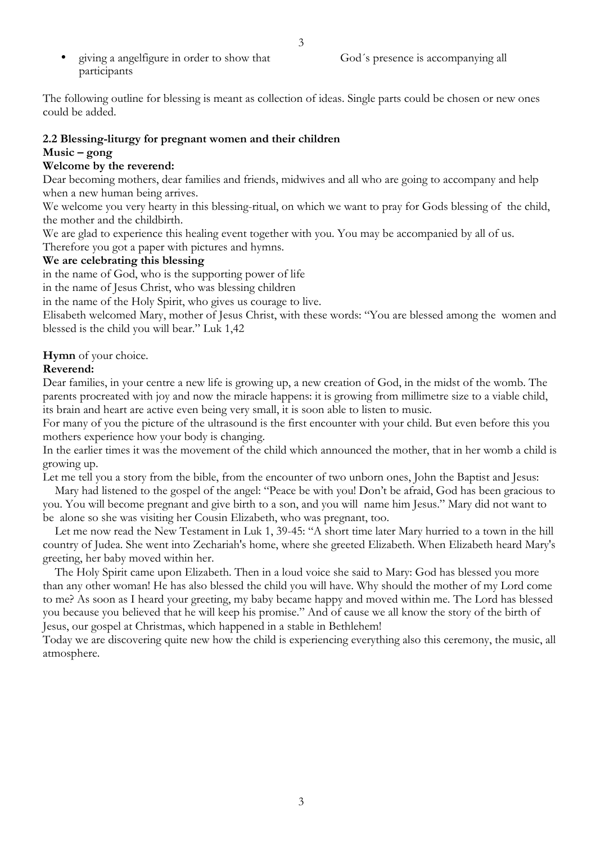participants

The following outline for blessing is meant as collection of ideas. Single parts could be chosen or new ones could be added.

# **2.2 Blessing-liturgy for pregnant women and their children Music – gong**

## **Welcome by the reverend:**

Dear becoming mothers, dear families and friends, midwives and all who are going to accompany and help when a new human being arrives.

We welcome you very hearty in this blessing-ritual, on which we want to pray for Gods blessing of the child, the mother and the childbirth.

We are glad to experience this healing event together with you. You may be accompanied by all of us.

Therefore you got a paper with pictures and hymns.

## **We are celebrating this blessing**

in the name of God, who is the supporting power of life

in the name of Jesus Christ, who was blessing children

in the name of the Holy Spirit, who gives us courage to live.

Elisabeth welcomed Mary, mother of Jesus Christ, with these words: "You are blessed among the women and blessed is the child you will bear." Luk 1,42

**Hymn** of your choice.

# **Reverend:**

Dear families, in your centre a new life is growing up, a new creation of God, in the midst of the womb. The parents procreated with joy and now the miracle happens: it is growing from millimetre size to a viable child, its brain and heart are active even being very small, it is soon able to listen to music.

For many of you the picture of the ultrasound is the first encounter with your child. But even before this you mothers experience how your body is changing.

In the earlier times it was the movement of the child which announced the mother, that in her womb a child is growing up.

Let me tell you a story from the bible, from the encounter of two unborn ones, John the Baptist and Jesus:

Mary had listened to the gospel of the angel: "Peace be with you! Don't be afraid, God has been gracious to you. You will become pregnant and give birth to a son, and you will name him Jesus." Mary did not want to be alone so she was visiting her Cousin Elizabeth, who was pregnant, too.

Let me now read the New Testament in Luk 1, 39-45: "A short time later Mary hurried to a town in the hill country of Judea. She went into Zechariah's home, where she greeted Elizabeth. When Elizabeth heard Mary's greeting, her baby moved within her.

The Holy Spirit came upon Elizabeth. Then in a loud voice she said to Mary: God has blessed you more than any other woman! He has also blessed the child you will have. Why should the mother of my Lord come to me? As soon as I heard your greeting, my baby became happy and moved within me. The Lord has blessed you because you believed that he will keep his promise." And of cause we all know the story of the birth of Jesus, our gospel at Christmas, which happened in a stable in Bethlehem!

Today we are discovering quite new how the child is experiencing everything also this ceremony, the music, all atmosphere.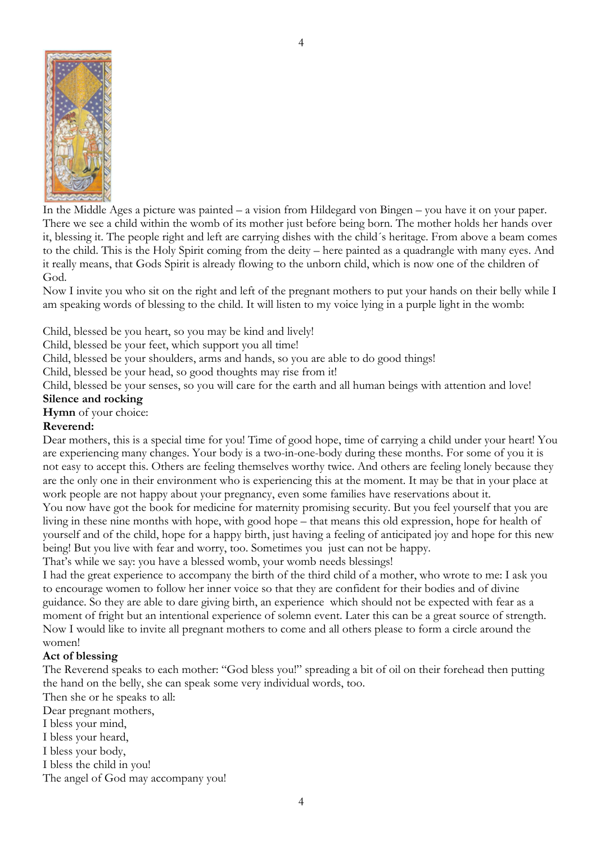

In the Middle Ages a picture was painted – a vision from Hildegard von Bingen – you have it on your paper. There we see a child within the womb of its mother just before being born. The mother holds her hands over it, blessing it. The people right and left are carrying dishes with the child´s heritage. From above a beam comes to the child. This is the Holy Spirit coming from the deity – here painted as a quadrangle with many eyes. And it really means, that Gods Spirit is already flowing to the unborn child, which is now one of the children of God.

Now I invite you who sit on the right and left of the pregnant mothers to put your hands on their belly while I am speaking words of blessing to the child. It will listen to my voice lying in a purple light in the womb:

Child, blessed be you heart, so you may be kind and lively!

Child, blessed be your feet, which support you all time!

Child, blessed be your shoulders, arms and hands, so you are able to do good things!

Child, blessed be your head, so good thoughts may rise from it!

Child, blessed be your senses, so you will care for the earth and all human beings with attention and love!

### **Silence and rocking**

**Hymn** of your choice:

## **Reverend:**

Dear mothers, this is a special time for you! Time of good hope, time of carrying a child under your heart! You are experiencing many changes. Your body is a two-in-one-body during these months. For some of you it is not easy to accept this. Others are feeling themselves worthy twice. And others are feeling lonely because they are the only one in their environment who is experiencing this at the moment. It may be that in your place at work people are not happy about your pregnancy, even some families have reservations about it.

You now have got the book for medicine for maternity promising security. But you feel yourself that you are living in these nine months with hope, with good hope – that means this old expression, hope for health of yourself and of the child, hope for a happy birth, just having a feeling of anticipated joy and hope for this new being! But you live with fear and worry, too. Sometimes you just can not be happy.

That's while we say: you have a blessed womb, your womb needs blessings!

I had the great experience to accompany the birth of the third child of a mother, who wrote to me: I ask you to encourage women to follow her inner voice so that they are confident for their bodies and of divine guidance. So they are able to dare giving birth, an experience which should not be expected with fear as a moment of fright but an intentional experience of solemn event. Later this can be a great source of strength. Now I would like to invite all pregnant mothers to come and all others please to form a circle around the women!

# **Act of blessing**

The Reverend speaks to each mother: "God bless you!" spreading a bit of oil on their forehead then putting the hand on the belly, she can speak some very individual words, too.

Then she or he speaks to all:

Dear pregnant mothers,

- I bless your mind,
- I bless your heard,
- I bless your body,

I bless the child in you!

The angel of God may accompany you!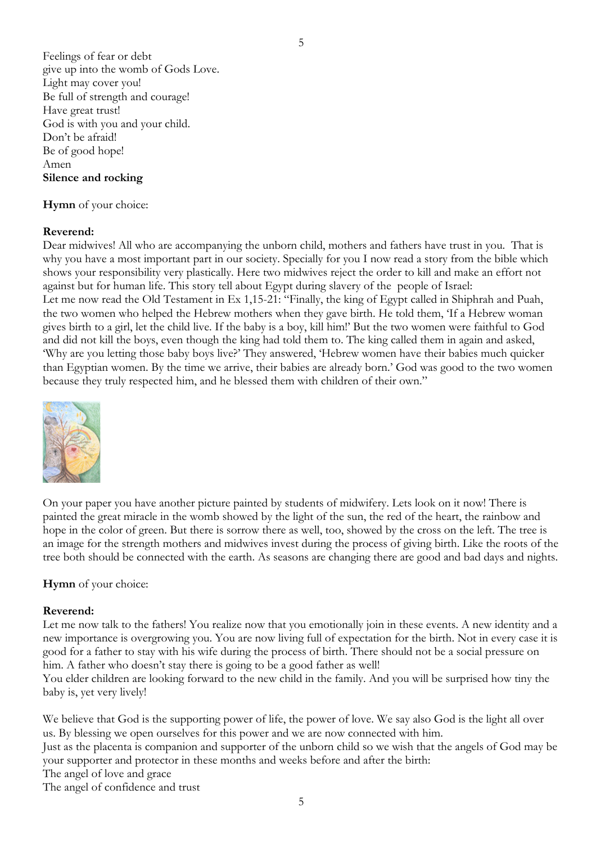Feelings of fear or debt give up into the womb of Gods Love. Light may cover you! Be full of strength and courage! Have great trust! God is with you and your child. Don't be afraid! Be of good hope! Amen **Silence and rocking**

#### **Hymn** of your choice:

#### **Reverend:**

Dear midwives! All who are accompanying the unborn child, mothers and fathers have trust in you. That is why you have a most important part in our society. Specially for you I now read a story from the bible which shows your responsibility very plastically. Here two midwives reject the order to kill and make an effort not against but for human life. This story tell about Egypt during slavery of the people of Israel: Let me now read the Old Testament in Ex 1,15-21: "Finally, the king of Egypt called in Shiphrah and Puah, the two women who helped the Hebrew mothers when they gave birth. He told them, 'If a Hebrew woman gives birth to a girl, let the child live. If the baby is a boy, kill him!' But the two women were faithful to God and did not kill the boys, even though the king had told them to. The king called them in again and asked, 'Why are you letting those baby boys live?' They answered, 'Hebrew women have their babies much quicker than Egyptian women. By the time we arrive, their babies are already born.' God was good to the two women because they truly respected him, and he blessed them with children of their own."



On your paper you have another picture painted by students of midwifery. Lets look on it now! There is painted the great miracle in the womb showed by the light of the sun, the red of the heart, the rainbow and hope in the color of green. But there is sorrow there as well, too, showed by the cross on the left. The tree is an image for the strength mothers and midwives invest during the process of giving birth. Like the roots of the tree both should be connected with the earth. As seasons are changing there are good and bad days and nights.

**Hymn** of your choice:

#### **Reverend:**

Let me now talk to the fathers! You realize now that you emotionally join in these events. A new identity and a new importance is overgrowing you. You are now living full of expectation for the birth. Not in every case it is good for a father to stay with his wife during the process of birth. There should not be a social pressure on him. A father who doesn't stay there is going to be a good father as well!

You elder children are looking forward to the new child in the family. And you will be surprised how tiny the baby is, yet very lively!

We believe that God is the supporting power of life, the power of love. We say also God is the light all over us. By blessing we open ourselves for this power and we are now connected with him.

Just as the placenta is companion and supporter of the unborn child so we wish that the angels of God may be your supporter and protector in these months and weeks before and after the birth:

The angel of love and grace

The angel of confidence and trust